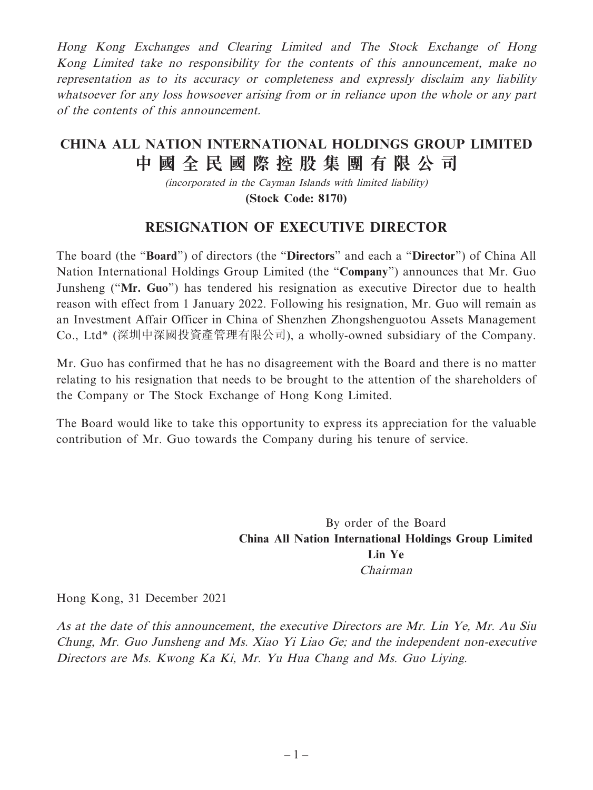Hong Kong Exchanges and Clearing Limited and The Stock Exchange of Hong Kong Limited take no responsibility for the contents of this announcement, make no representation as to its accuracy or completeness and expressly disclaim any liability whatsoever for any loss howsoever arising from or in reliance upon the whole or any part of the contents of this announcement.

## **CHINA ALL NATION INTERNATIONAL HOLDINGS GROUP LIMITED 中國全民國際控股集團有限公司**

(incorporated in the Cayman Islands with limited liability) **(Stock Code: 8170)**

## **RESIGNATION OF EXECUTIVE DIRECTOR**

The board (the "**Board**") of directors (the "**Directors**" and each a "**Director**") of China All Nation International Holdings Group Limited (the "**Company**") announces that Mr. Guo Junsheng ("**Mr. Guo**") has tendered his resignation as executive Director due to health reason with effect from 1 January 2022. Following his resignation, Mr. Guo will remain as an Investment Affair Officer in China of Shenzhen Zhongshenguotou Assets Management Co., Ltd\* (深圳中深國投資產管理有限公司), a wholly-owned subsidiary of the Company.

Mr. Guo has confirmed that he has no disagreement with the Board and there is no matter relating to his resignation that needs to be brought to the attention of the shareholders of the Company or The Stock Exchange of Hong Kong Limited.

The Board would like to take this opportunity to express its appreciation for the valuable contribution of Mr. Guo towards the Company during his tenure of service.

> By order of the Board **China All Nation International Holdings Group Limited Lin Ye** Chairman

Hong Kong, 31 December 2021

As at the date of this announcement, the executive Directors are Mr. Lin Ye, Mr. Au Siu Chung, Mr. Guo Junsheng and Ms. Xiao Yi Liao Ge; and the independent non-executive Directors are Ms. Kwong Ka Ki, Mr. Yu Hua Chang and Ms. Guo Liying.